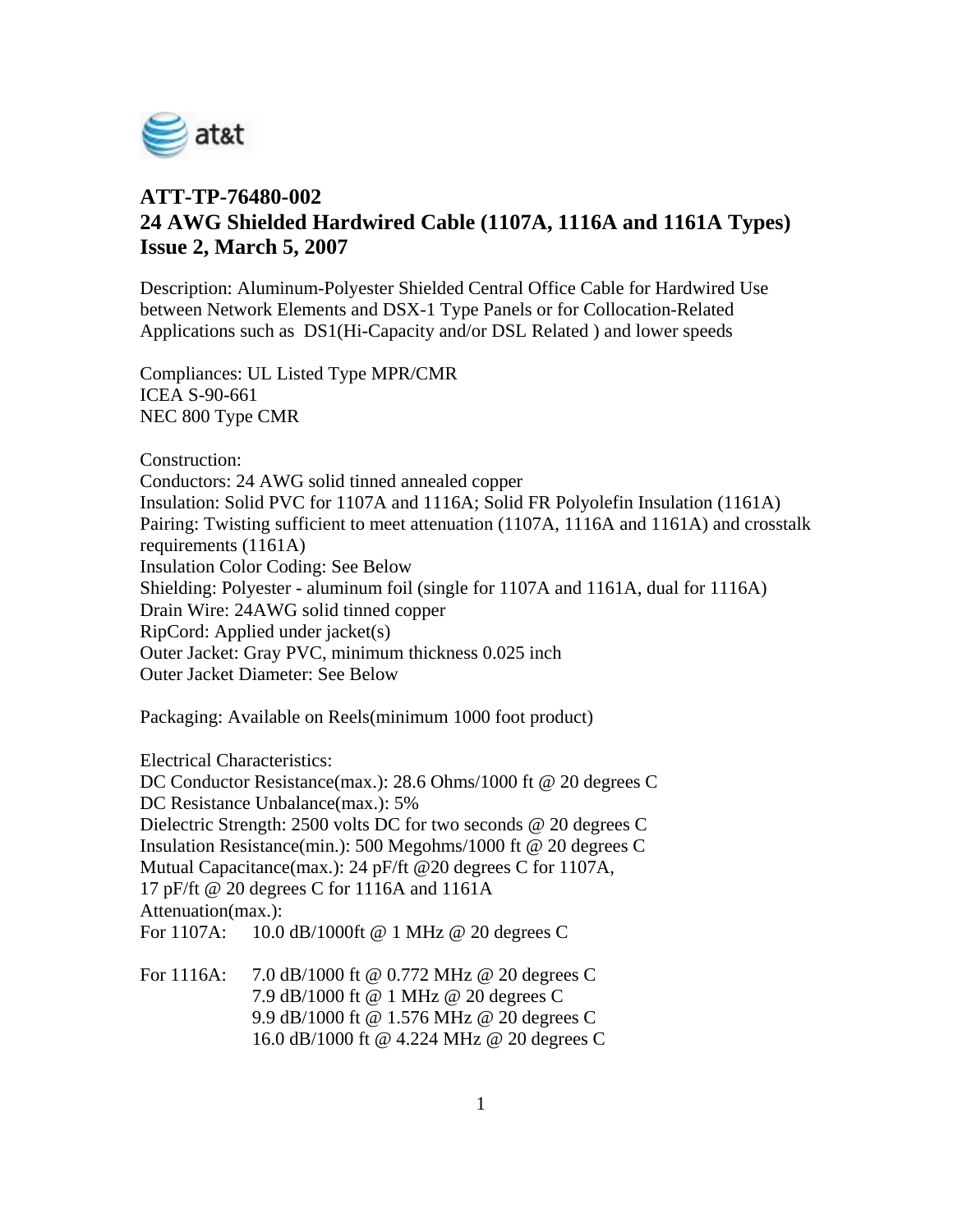

## **ATT-TP-76480-002 24 AWG Shielded Hardwired Cable (1107A, 1116A and 1161A Types) Issue 2, March 5, 2007**

Description: Aluminum-Polyester Shielded Central Office Cable for Hardwired Use between Network Elements and DSX-1 Type Panels or for Collocation-Related Applications such as DS1(Hi-Capacity and/or DSL Related ) and lower speeds

Compliances: UL Listed Type MPR/CMR ICEA S-90-661 NEC 800 Type CMR

Construction:

Conductors: 24 AWG solid tinned annealed copper Insulation: Solid PVC for 1107A and 1116A; Solid FR Polyolefin Insulation (1161A) Pairing: Twisting sufficient to meet attenuation (1107A, 1116A and 1161A) and crosstalk requirements (1161A) Insulation Color Coding: See Below Shielding: Polyester - aluminum foil (single for 1107A and 1161A, dual for 1116A) Drain Wire: 24AWG solid tinned copper RipCord: Applied under jacket(s) Outer Jacket: Gray PVC, minimum thickness 0.025 inch Outer Jacket Diameter: See Below

Packaging: Available on Reels(minimum 1000 foot product)

Electrical Characteristics:

DC Conductor Resistance(max.): 28.6 Ohms/1000 ft @ 20 degrees C DC Resistance Unbalance(max.): 5% Dielectric Strength: 2500 volts DC for two seconds @ 20 degrees C Insulation Resistance(min.): 500 Megohms/1000 ft @ 20 degrees C Mutual Capacitance(max.): 24 pF/ft @20 degrees C for 1107A, 17 pF/ft @ 20 degrees C for 1116A and 1161A Attenuation(max.): For 1107A: 10.0 dB/1000ft @ 1 MHz @ 20 degrees C

For 1116A: 7.0 dB/1000 ft @ 0.772 MHz @ 20 degrees C 7.9 dB/1000 ft @ 1 MHz @ 20 degrees C 9.9 dB/1000 ft @ 1.576 MHz @ 20 degrees C 16.0 dB/1000 ft @ 4.224 MHz @ 20 degrees C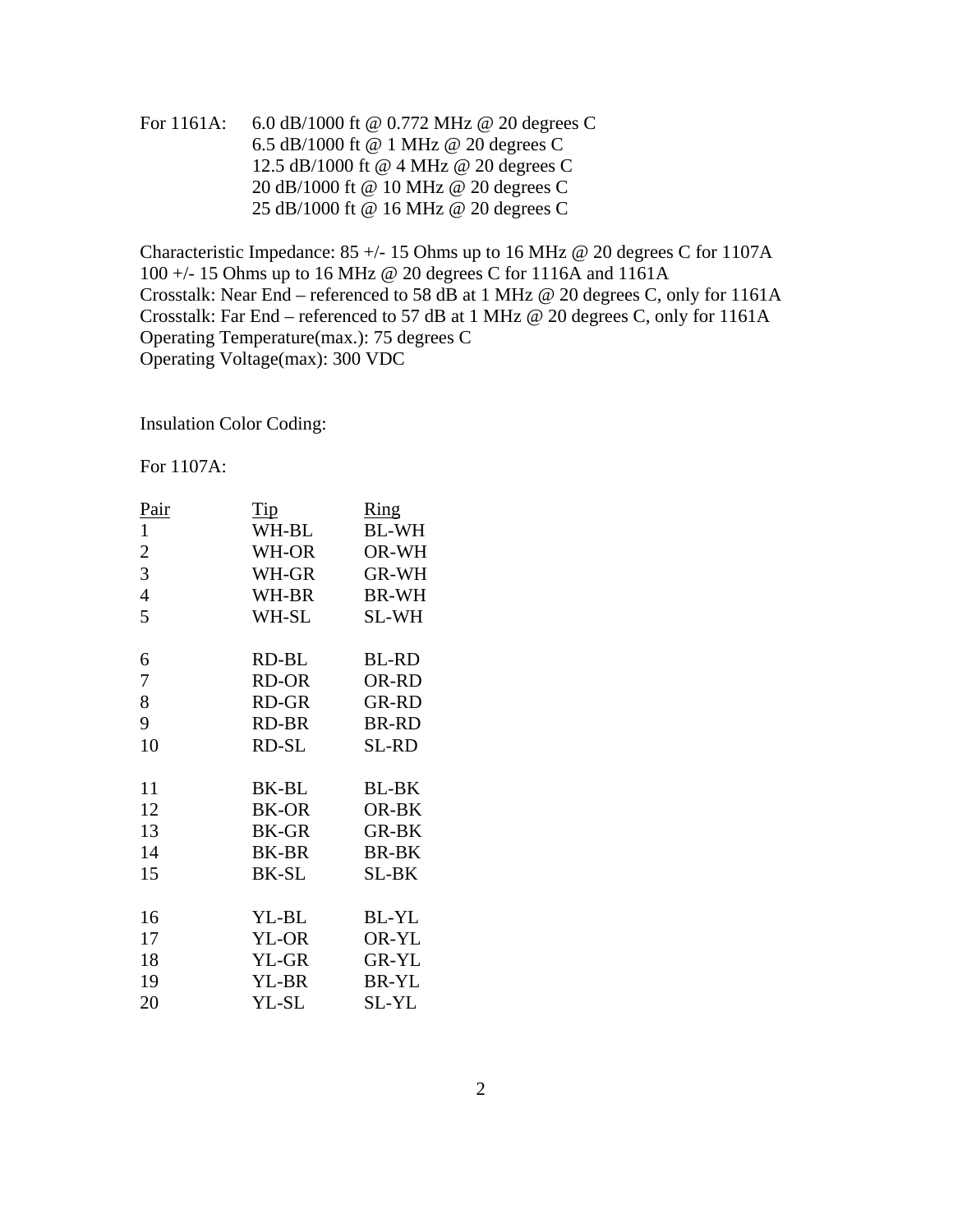For 1161A: 6.0 dB/1000 ft @ 0.772 MHz @ 20 degrees C 6.5 dB/1000 ft @ 1 MHz @ 20 degrees C 12.5 dB/1000 ft @ 4 MHz @ 20 degrees C 20 dB/1000 ft @ 10 MHz @ 20 degrees C 25 dB/1000 ft @ 16 MHz @ 20 degrees C

Characteristic Impedance:  $85 +$ -15 Ohms up to 16 MHz @ 20 degrees C for 1107A 100 +/- 15 Ohms up to 16 MHz @ 20 degrees C for 1116A and 1161A Crosstalk: Near End – referenced to 58 dB at 1 MHz @ 20 degrees C, only for 1161A Crosstalk: Far End – referenced to 57 dB at 1 MHz @ 20 degrees C, only for 1161A Operating Temperature(max.): 75 degrees C Operating Voltage(max): 300 VDC

Insulation Color Coding:

For 1107A:

| Pair           | Tip   | Ring         |
|----------------|-------|--------------|
| $\mathbf{1}$   | WH-BL | <b>BL-WH</b> |
| $\overline{c}$ | WH-OR | OR-WH        |
| 3              | WH-GR | <b>GR-WH</b> |
| $\overline{4}$ | WH-BR | <b>BR-WH</b> |
| 5              | WH-SL | SL-WH        |
| 6              | RD-BL | <b>BL-RD</b> |
| 7              | RD-OR | OR-RD        |
| 8              | RD-GR | <b>GR-RD</b> |
| 9              | RD-BR | <b>BR-RD</b> |
| 10             | RD-SL | SL-RD        |
| 11             | BK-BL | <b>BL-BK</b> |
| 12             | BK-OR | OR-BK        |
| 13             | BK-GR | <b>GR-BK</b> |
| 14             | BK-BR | BR-BK        |
| 15             | BK-SL | SL-BK        |
| 16             | YL-BL | <b>BL-YL</b> |
| 17             | YL-OR | OR-YL        |
| 18             | YL-GR | <b>GR-YL</b> |
| 19             | YL-BR | <b>BR-YL</b> |
| 20             | YL-SL | SL-YL        |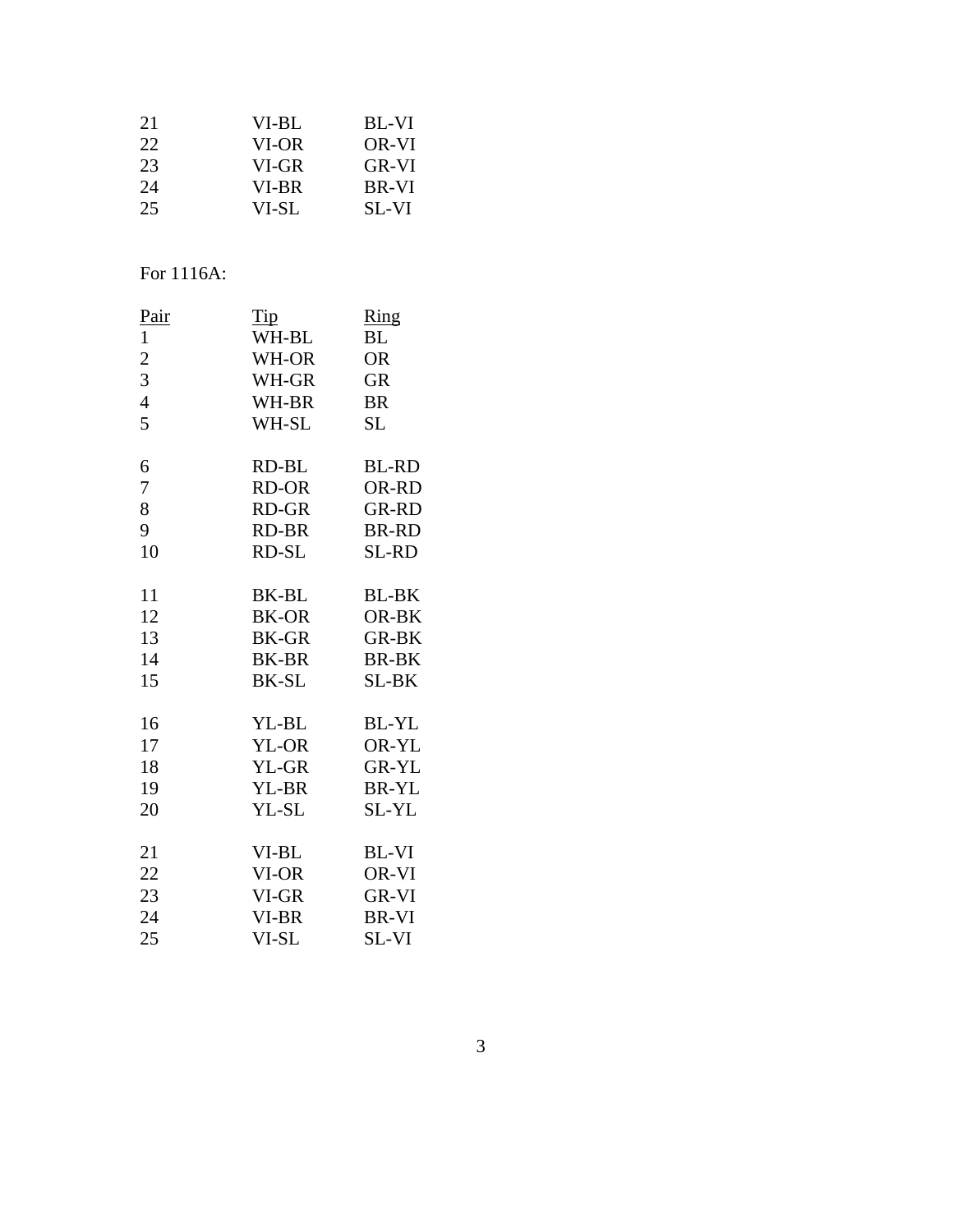| 21 | VI-BL | BL-VI        |
|----|-------|--------------|
| 22 | VI-OR | OR-VI        |
| 23 | VI-GR | GR-VI        |
| 24 | VI-BR | <b>BR-VI</b> |
| 25 | VI-SL | SL-VI        |

# For 1116A:

|       | $\frac{Ring}{2}$    |
|-------|---------------------|
| WH-BL | BL                  |
| WH-OR | <b>OR</b>           |
| WH-GR | <b>GR</b>           |
| WH-BR | <b>BR</b>           |
| WH-SL | SL                  |
| RD-BL | <b>BL-RD</b>        |
|       | OR-RD               |
| RD-GR | <b>GR-RD</b>        |
| RD-BR | <b>BR-RD</b>        |
| RD-SL | SL-RD               |
| BK-BL | <b>BL-BK</b>        |
| BK-OR | OR-BK               |
| BK-GR | <b>GR-BK</b>        |
| BK-BR | <b>BR-BK</b>        |
| BK-SL | SL-BK               |
| YL-BL | BL-YL               |
| YL-OR | OR-YL               |
| YL-GR | GR-YL               |
| YL-BR | <b>BR-YL</b>        |
| YL-SL | SL-YL               |
| VI-BL | BL-VI               |
| VI-OR | OR-VI               |
| VI-GR | GR-VI               |
| VI-BR | BR-VI               |
| VI-SL | SL-VI               |
|       | <b>Tip</b><br>RD-OR |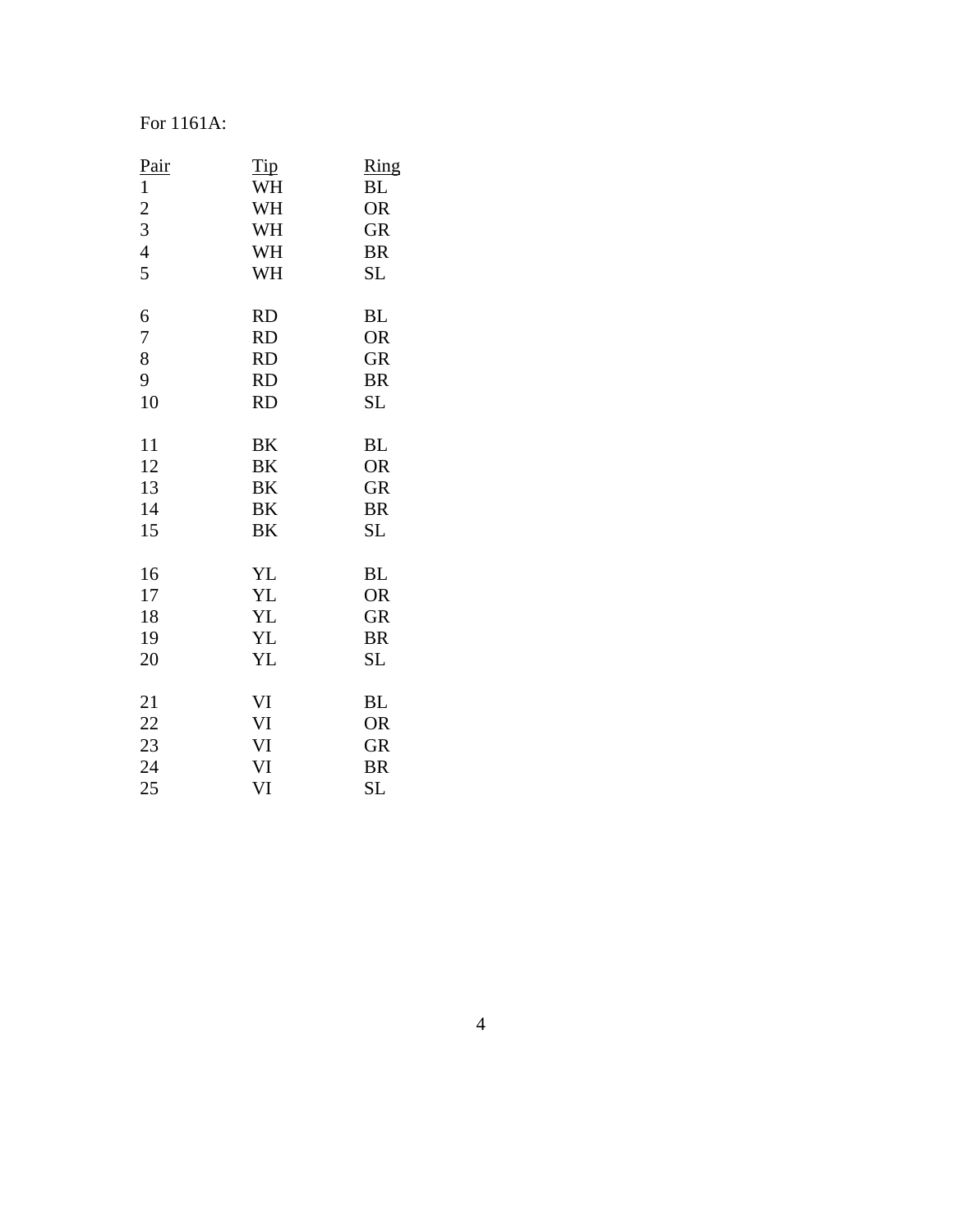#### For 1161A:

| <u>Pair</u>    | <u>Tip</u> | $\frac{Ring}{2}$ |
|----------------|------------|------------------|
| $\mathbf{1}$   | WH         | <b>BL</b>        |
| $\overline{c}$ | WH         | <b>OR</b>        |
| 3              | WH         | <b>GR</b>        |
| $\overline{4}$ | WH         | <b>BR</b>        |
| 5              | WH         | SL               |
| 6              | <b>RD</b>  | <b>BL</b>        |
| 7              | <b>RD</b>  | <b>OR</b>        |
| 8              | <b>RD</b>  | <b>GR</b>        |
| 9              | <b>RD</b>  | <b>BR</b>        |
| 10             | <b>RD</b>  | SL               |
| 11             | BK         | <b>BL</b>        |
| 12             | BK         | <b>OR</b>        |
| 13             | <b>BK</b>  | <b>GR</b>        |
| 14             | BK         | <b>BR</b>        |
| 15             | BK         | <b>SL</b>        |
| 16             | YL         | <b>BL</b>        |
| 17             | YL         | <b>OR</b>        |
| 18             | <b>YL</b>  | <b>GR</b>        |
| 19             | YL         | <b>BR</b>        |
| 20             | YL         | SL               |
| 21             | VI         | <b>BL</b>        |
| 22             | VI         | <b>OR</b>        |
| 23             | VI         | <b>GR</b>        |
| 24             | VI         | <b>BR</b>        |
| 25             | VI         | SL               |